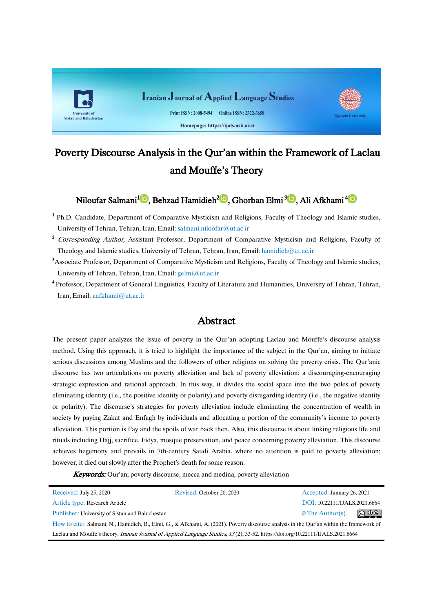

# Poverty Discourse Analysis in the Qur'an within the Framework of Laclau and Mouffe's Theory

Niloufar Salmani<sup>1</sup>D[,](https://orcid.org/0000-0003-4422-4375) Behzad Hamidieh<sup>2</sup>D[,](https://orcid.org/0000-0003-1895-4622) GhorbanElmi<sup>3</sup>D, Ali Afkhami<sup>4</sup>D

- <sup>1</sup> Ph.D. Candidate, Department of Comparative Mysticism and Religions, Faculty of Theology and Islamic studies, University of Tehran, Tehran, Iran, Email: salmani.niloofar@ut.ac.ir
- <sup>2</sup> Corresponding Author, Assistant Professor, Department of Comparative Mysticism and Religions, Faculty of Theology and Islamic studies, University of Tehran, Tehran, Iran, Email[:](mailto:hamidieh@ut.ac.ir) [hamidieh@ut.ac.ir](mailto:hamidieh@ut.ac.ir)
- <sup>3</sup>Associate Professor, Department of Comparative Mysticism and Religions, Faculty of Theology and Islamic studies, University of Tehran, Tehran, Iran, Email[: gelmi@ut.ac.ir](mailto:gelmi@ut.ac.ir)
- 4 Professor, Department of General Linguistics, Faculty of Literature and Humanities, University of Tehran, Tehran, Iran, Email[: aafkhami@ut.ac.ir](mailto:aafkhami@ut.ac.ir)

## Abstract

The present paper analyzes the issue of poverty in the Qur'an adopting Laclau and Mouffe's discourse analysis method. Using this approach, it is tried to highlight the importance of the subject in the Qur'an, aiming to initiate serious discussions among Muslims and the followers of other religions on solving the poverty crisis. The Qur'anic discourse has two articulations on poverty alleviation and lack of poverty alleviation: a discouraging-encouraging strategic expression and rational approach. In this way, it divides the social space into the two poles of poverty eliminating identity (i.e., the positive identity or polarity) and poverty disregarding identity (i.e., the negative identity or polarity). The discourse's strategies for poverty alleviation include eliminating the concentration of wealth in society by paying Zakat and Enfagh by individuals and allocating a portion of the community's income to poverty alleviation. This portion is Fay and the spoils of war back then. Also, this discourse is about linking religious life and rituals including Hajj, sacrifice, Fidya, mosque preservation, and peace concerning poverty alleviation. This discourse achieves hegemony and prevails in 7th-century Saudi Arabia, where no attention is paid to poverty alleviation; however, it died out slowly after the Prophet's death for some reason.

**Keywords:** Qur'an, poverty discourse, mecca and medina, poverty alleviation

| Received: July 25, 2020                                                                                                                  | Revised: October 20, 2020 | Accepted: January 26, 2021    |                               |
|------------------------------------------------------------------------------------------------------------------------------------------|---------------------------|-------------------------------|-------------------------------|
| Article type: Research Article                                                                                                           |                           | DOI: 10.22111/IJALS.2021.6664 |                               |
| Publisher: University of Sistan and Baluchestan                                                                                          |                           | $\circ$ The Author(s).        | $\circledcirc$ $\circledcirc$ |
| How to cite: Salmani, N., Hamidieh, B., Elmi, G., & Afkhami, A. (2021). Poverty discourse analysis in the Qur'an within the framework of |                           |                               |                               |
| Laclau and Mouffe's theory. Iranian Journal of Applied Language Studies, 13(2), 33-52. https://doi.org/10.2211/JJALS.2021.6664           |                           |                               |                               |
|                                                                                                                                          |                           |                               |                               |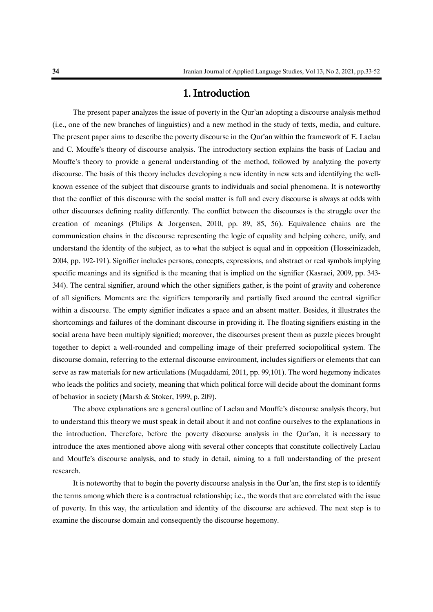## 1. Introduction

The present paper analyzes the issue of poverty in the Qur'an adopting a discourse analysis method (i.e., one of the new branches of linguistics) and a new method in the study of texts, media, and culture. The present paper aims to describe the poverty discourse in the Qur'an within the framework of E. Laclau and C. Mouffe's theory of discourse analysis. The introductory section explains the basis of Laclau and Mouffe's theory to provide a general understanding of the method, followed by analyzing the poverty discourse. The basis of this theory includes developing a new identity in new sets and identifying the wellknown essence of the subject that discourse grants to individuals and social phenomena. It is noteworthy that the conflict of this discourse with the social matter is full and every discourse is always at odds with other discourses defining reality differently. The conflict between the discourses is the struggle over the creation of meanings (Philips & Jorgensen, 2010, pp. 89, 85, 56). Equivalence chains are the communication chains in the discourse representing the logic of equality and helping cohere, unify, and understand the identity of the subject, as to what the subject is equal and in opposition (Hosseinizadeh, 2004, pp. 192-191). Signifier includes persons, concepts, expressions, and abstract or real symbols implying specific meanings and its signified is the meaning that is implied on the signifier (Kasraei, 2009, pp. 343-344). The central signifier, around which the other signifiers gather, is the point of gravity and coherence of all signifiers. Moments are the signifiers temporarily and partially fixed around the central signifier within a discourse. The empty signifier indicates a space and an absent matter. Besides, it illustrates the shortcomings and failures of the dominant discourse in providing it. The floating signifiers existing in the social arena have been multiply signified; moreover, the discourses present them as puzzle pieces brought together to depict a well-rounded and compelling image of their preferred sociopolitical system. The discourse domain, referring to the external discourse environment, includes signifiers or elements that can serve as raw materials for new articulations (Muqaddami, 2011, pp. 99,101). The word hegemony indicates who leads the politics and society, meaning that which political force will decide about the dominant forms of behavior in society (Marsh & Stoker, 1999, p. 209).

The above explanations are a general outline of Laclau and Mouffe's discourse analysis theory, but to understand this theory we must speak in detail about it and not confine ourselves to the explanations in the introduction. Therefore, before the poverty discourse analysis in the Qur'an, it is necessary to introduce the axes mentioned above along with several other concepts that constitute collectively Laclau and Mouffe's discourse analysis, and to study in detail, aiming to a full understanding of the present research.

It is noteworthy that to begin the poverty discourse analysis in the Qur'an, the first step is to identify the terms among which there is a contractual relationship; i.e., the words that are correlated with the issue of poverty. In this way, the articulation and identity of the discourse are achieved. The next step is to examine the discourse domain and consequently the discourse hegemony.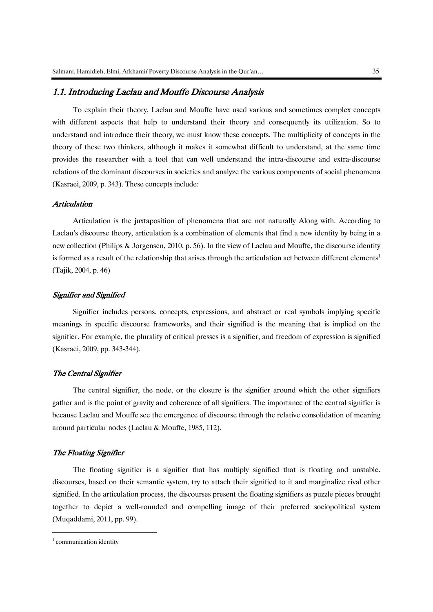## 1.1. Introducing Laclau and Mouffe Discourse Analysis

To explain their theory, Laclau and Mouffe have used various and sometimes complex concepts with different aspects that help to understand their theory and consequently its utilization. So to understand and introduce their theory, we must know these concepts. The multiplicity of concepts in the theory of these two thinkers, although it makes it somewhat difficult to understand, at the same time provides the researcher with a tool that can well understand the intra-discourse and extra-discourse relations of the dominant discourses in societies and analyze the various components of social phenomena (Kasraei, 2009, p. 343). These concepts include:

#### Articulation

Articulation is the juxtaposition of phenomena that are not naturally Along with. According to Laclau's discourse theory, articulation is a combination of elements that find a new identity by being in a new collection (Philips & Jorgensen, 2010, p. 56). In the view of Laclau and Mouffe, the discourse identity is formed as a result of the relationship that arises through the articulation act between different elements<sup>1</sup> (Tajik, 2004, p. 46)

#### Signifier and Signified

Signifier includes persons, concepts, expressions, and abstract or real symbols implying specific meanings in specific discourse frameworks, and their signified is the meaning that is implied on the signifier. For example, the plurality of critical presses is a signifier, and freedom of expression is signified (Kasraei, 2009, pp. 343-344).

### The Central Signifier

The central signifier, the node, or the closure is the signifier around which the other signifiers gather and is the point of gravity and coherence of all signifiers. The importance of the central signifier is because Laclau and Mouffe see the emergence of discourse through the relative consolidation of meaning around particular nodes (Laclau & Mouffe, 1985, 112).

#### The Floating Signifier

The floating signifier is a signifier that has multiply signified that is floating and unstable. discourses, based on their semantic system, try to attach their signified to it and marginalize rival other signified. In the articulation process, the discourses present the floating signifiers as puzzle pieces brought together to depict a well-rounded and compelling image of their preferred sociopolitical system (Muqaddami, 2011, pp. 99).

1

<sup>&</sup>lt;sup>1</sup> communication identity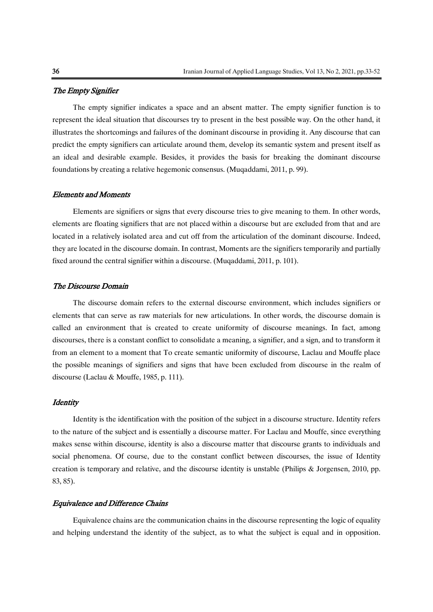#### The Empty Signifier

The empty signifier indicates a space and an absent matter. The empty signifier function is to represent the ideal situation that discourses try to present in the best possible way. On the other hand, it illustrates the shortcomings and failures of the dominant discourse in providing it. Any discourse that can predict the empty signifiers can articulate around them, develop its semantic system and present itself as an ideal and desirable example. Besides, it provides the basis for breaking the dominant discourse foundations by creating a relative hegemonic consensus. (Muqaddami, 2011, p. 99).

## Elements and Moments

Elements are signifiers or signs that every discourse tries to give meaning to them. In other words, elements are floating signifiers that are not placed within a discourse but are excluded from that and are located in a relatively isolated area and cut off from the articulation of the dominant discourse. Indeed, they are located in the discourse domain. In contrast, Moments are the signifiers temporarily and partially fixed around the central signifier within a discourse. (Muqaddami, 2011, p. 101).

## The Discourse Domain

The discourse domain refers to the external discourse environment, which includes signifiers or elements that can serve as raw materials for new articulations. In other words, the discourse domain is called an environment that is created to create uniformity of discourse meanings. In fact, among discourses, there is a constant conflict to consolidate a meaning, a signifier, and a sign, and to transform it from an element to a moment that To create semantic uniformity of discourse, Laclau and Mouffe place the possible meanings of signifiers and signs that have been excluded from discourse in the realm of discourse (Laclau & Mouffe, 1985, p. 111).

## **Identity**

Identity is the identification with the position of the subject in a discourse structure. Identity refers to the nature of the subject and is essentially a discourse matter. For Laclau and Mouffe, since everything makes sense within discourse, identity is also a discourse matter that discourse grants to individuals and social phenomena. Of course, due to the constant conflict between discourses, the issue of Identity creation is temporary and relative, and the discourse identity is unstable (Philips & Jorgensen, 2010, pp. 83, 85).

#### Equivalence and Difference Chains

Equivalence chains are the communication chains in the discourse representing the logic of equality and helping understand the identity of the subject, as to what the subject is equal and in opposition.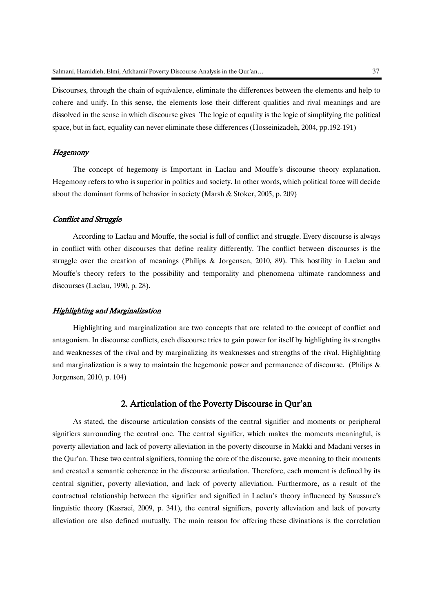Discourses, through the chain of equivalence, eliminate the differences between the elements and help to cohere and unify. In this sense, the elements lose their different qualities and rival meanings and are dissolved in the sense in which discourse gives The logic of equality is the logic of simplifying the political space, but in fact, equality can never eliminate these differences (Hosseinizadeh, 2004, pp.192-191)

#### **Hegemony**

The concept of hegemony is Important in Laclau and Mouffe's discourse theory explanation. Hegemony refers to who is superior in politics and society. In other words, which political force will decide about the dominant forms of behavior in society (Marsh & Stoker, 2005, p. 209)

#### Conflict and Struggle

According to Laclau and Mouffe, the social is full of conflict and struggle. Every discourse is always in conflict with other discourses that define reality differently. The conflict between discourses is the struggle over the creation of meanings (Philips & Jorgensen, 2010, 89). This hostility in Laclau and Mouffe's theory refers to the possibility and temporality and phenomena ultimate randomness and discourses (Laclau, 1990, p. 28).

#### Highlighting and Marginalization

Highlighting and marginalization are two concepts that are related to the concept of conflict and antagonism. In discourse conflicts, each discourse tries to gain power for itself by highlighting its strengths and weaknesses of the rival and by marginalizing its weaknesses and strengths of the rival. Highlighting and marginalization is a way to maintain the hegemonic power and permanence of discourse. (Philips & Jorgensen, 2010, p. 104)

## 2. Articulation of the Poverty Discourse in Qur'an

As stated, the discourse articulation consists of the central signifier and moments or peripheral signifiers surrounding the central one. The central signifier, which makes the moments meaningful, is poverty alleviation and lack of poverty alleviation in the poverty discourse in Makki and Madani verses in the Qur'an. These two central signifiers, forming the core of the discourse, gave meaning to their moments and created a semantic coherence in the discourse articulation. Therefore, each moment is defined by its central signifier, poverty alleviation, and lack of poverty alleviation. Furthermore, as a result of the contractual relationship between the signifier and signified in Laclau's theory influenced by Saussure's linguistic theory (Kasraei, 2009, p. 341), the central signifiers, poverty alleviation and lack of poverty alleviation are also defined mutually. The main reason for offering these divinations is the correlation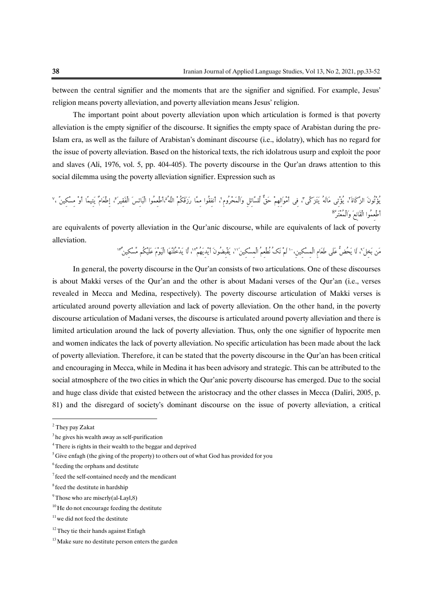between the central signifier and the moments that are the signifier and signified. For example, Jesus' religion means poverty alleviation, and poverty alleviation means Jesus' religion.

The important point about poverty alleviation upon which articulation is formed is that poverty alleviation is the empty signifier of the discourse. It signifies the empty space of Arabistan during the pre-Islam era, as well as the failure of Arabistan's dominant discourse (i.e., idolatry), which has no regard for the issue of poverty alleviation. Based on the historical texts, the rich idolatrous usurp and exploit the poor and slaves (Ali, 1976, vol. 5, pp. 404-405). The poverty discourse in the Qur'an draws attention to this social dilemma using the poverty alleviation signifier. Expression such as

بؤتون الزَّكاةَ'، يؤتِي ماله يتزكَّى'، فِي أموالِهِم حق للسَّائِلِ والمحرومِ'، أنفقوا مِمَّا رزقكم الله اطعموا البائس الفقير لم إطعام يتيما أو مسكين ،' 8 أَطْعِمُوا الْقَانِعَ وَالْمُعْتَرَّ

are equivalents of poverty alleviation in the Qur'anic discourse, while are equivalents of lack of poverty alleviation.

مَن بَخِلٌ ، لَا يَحْضُ عَلَى طَعَامِ الْمِسْكِينِ، `` لَمْ نَكَ نَطْعِمُ الْمِسْكِين' ``، يقبِضُونَ أيدِيهم''، لَا يدخُلَنَّهَا اليوم عليكم مسكِين ''

In general, the poverty discourse in the Qur'an consists of two articulations. One of these discourses is about Makki verses of the Qur'an and the other is about Madani verses of the Qur'an (i.e., verses revealed in Mecca and Medina, respectively). The poverty discourse articulation of Makki verses is articulated around poverty alleviation and lack of poverty alleviation. On the other hand, in the poverty discourse articulation of Madani verses, the discourse is articulated around poverty alleviation and there is limited articulation around the lack of poverty alleviation. Thus, only the one signifier of hypocrite men and women indicates the lack of poverty alleviation. No specific articulation has been made about the lack of poverty alleviation. Therefore, it can be stated that the poverty discourse in the Qur'an has been critical and encouraging in Mecca, while in Medina it has been advisory and strategic. This can be attributed to the social atmosphere of the two cities in which the Qur'anic poverty discourse has emerged. Due to the social and huge class divide that existed between the aristocracy and the other classes in Mecca (Daliri, 2005, p. 81) and the disregard of society's dominant discourse on the issue of poverty alleviation, a critical

-

<sup>2</sup> They pay Zakat

<sup>&</sup>lt;sup>3</sup> he gives his wealth away as self-purification

<sup>&</sup>lt;sup>4</sup> There is rights in their wealth to the beggar and deprived

 $5$ Give enfagh (the giving of the property) to others out of what God has provided for you

<sup>6</sup> feeding the orphans and destitute

<sup>&</sup>lt;sup>7</sup> feed the self-contained needy and the mendicant

<sup>&</sup>lt;sup>8</sup> feed the destitute in hardship

 $9$ Those who are miserly(al-Layl,8)

 $10$  He do not encourage feeding the destitute

 $11$  we did not feed the destitute

 $12$  They tie their hands against Enfagh

 $13$  Make sure no destitute person enters the garden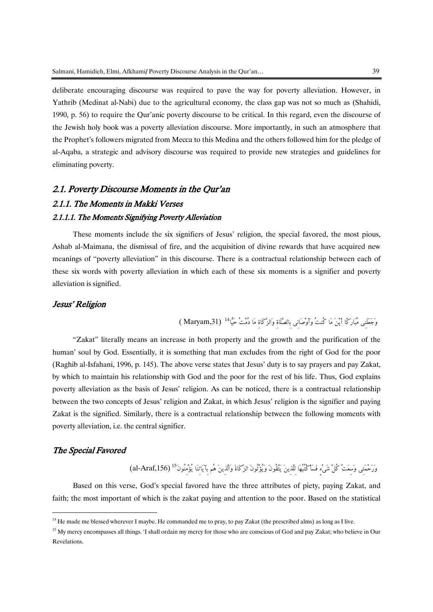deliberate encouraging discourse was required to pave the way for poverty alleviation. However, in Yathrib (Medinat al-Nabi) due to the agricultural economy, the class gap was not so much as (Shahidi, 1990, p. 56) to require the Qur'anic poverty discourse to be critical. In this regard, even the discourse of the Jewish holy book was a poverty alleviation discourse. More importantly, in such an atmosphere that the Prophet's followers migrated from Mecca to this Medina and the others followed him for the pledge of al-Aqaba, a strategic and advisory discourse was required to provide new strategies and guidelines for eliminating poverty.

## 2.1. Poverty Discourse Moments in the Qur'an 2.1.1. The Moments in Makki Verses 2.1.1.1. The Moments Signifying Poverty Alleviation

These moments include the six signifiers of Jesus' religion, the special favored, the most pious, Ashab al-Maimana, the dismissal of fire, and the acquisition of divine rewards that have acquired new meanings of "poverty alleviation" in this discourse. There is a contractual relationship between each of these six words with poverty alleviation in which each of these six moments is a signifier and poverty alleviation is signified.

## Jesus' Religion

),31Maryam ) <sup>14</sup> وَجَعَلَنِي مُبَارَكًا أَيْنَ مَا كُنتُ وَأَوْصَانِي بِالصَّلَاةِ وَالزَّكَاةِ مَا دُمْتُ حَيًّا

"Zakat" literally means an increase in both property and the growth and the purification of the human' soul by God. Essentially, it is something that man excludes from the right of God for the poor (Raghib al-Isfahani, 1996, p. 145). The above verse states that Jesus' duty is to say prayers and pay Zakat, by which to maintain his relationship with God and the poor for the rest of his life. Thus, God explains poverty alleviation as the basis of Jesus' religion. As can be noticed, there is a contractual relationship between the two concepts of Jesus' religion and Zakat, in which Jesus' religion is the signifier and paying Zakat is the signified. Similarly, there is a contractual relationship between the following moments with poverty alleviation, i.e. the central signifier.

## The Special Favored

**.** 

رَحْمَتِي وَسِعَتْ كُلَّ شَيْءٍ فَسَأَكْتُبُهَا لِلَّذِينَ يَتَّقُونَ وَيُؤْتُونَ الزَّكَاةَ وَالَّذِينَ هُم بِآيَاتِنَا يُؤْمِنُونَ<sup>15</sup> (al-Araf,156)

Based on this verse, God's special favored have the three attributes of piety, paying Zakat, and faith; the most important of which is the zakat paying and attention to the poor. Based on the statistical

<sup>&</sup>lt;sup>14</sup> He made me blessed wherever I maybe. He commanded me to pray, to pay Zakat (the prescribed alms) as long as I live.

<sup>&</sup>lt;sup>15</sup> My mercy encompasses all things. 'I shall ordain my mercy for those who are conscious of God and pay Zakat; who believe in Our Revelations.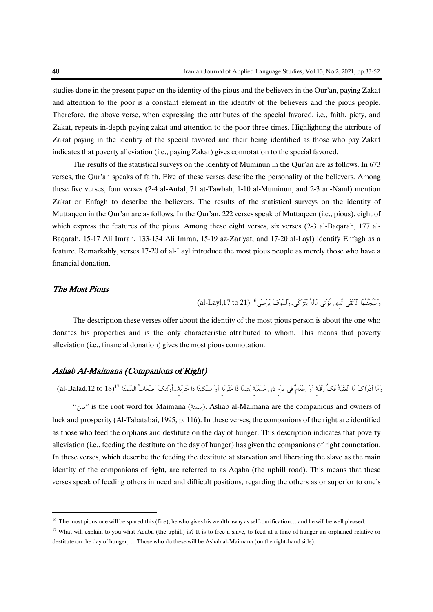studies done in the present paper on the identity of the pious and the believers in the Qur'an, paying Zakat and attention to the poor is a constant element in the identity of the believers and the pious people. Therefore, the above verse, when expressing the attributes of the special favored, i.e., faith, piety, and Zakat, repeats in-depth paying zakat and attention to the poor three times. Highlighting the attribute of Zakat paying in the identity of the special favored and their being identified as those who pay Zakat indicates that poverty alleviation (i.e., paying Zakat) gives connotation to the special favored.

The results of the statistical surveys on the identity of Muminun in the Qur'an are as follows. In 673 verses, the Qur'an speaks of faith. Five of these verses describe the personality of the believers. Among these five verses, four verses (2-4 al-Anfal, 71 at-Tawbah, 1-10 al-Muminun, and 2-3 an-Naml) mention Zakat or Enfagh to describe the believers. The results of the statistical surveys on the identity of Muttaqeen in the Qur'an are as follows. In the Qur'an, 222 verses speak of Muttaqeen (i.e., pious), eight of which express the features of the pious. Among these eight verses, six verses (2-3 al-Baqarah, 177 al-Baqarah, 15-17 Ali Imran, 133-134 Ali Imran, 15-19 az-Zariyat, and 17-20 al-Layl) identify Enfagh as a feature. Remarkably, verses 17-20 of al-Layl introduce the most pious people as merely those who have a financial donation.

#### The Most Pious

**.** 

رَ مُعْ جَنَّبُهَا الْأَتْقَى الَّذِي يُؤْتِي مَالَهُ يَتَزَكَّى..وَلَسَوْفَ يَرْضَى<sup>16</sup> (21 al-Layl,17 to)

The description these verses offer about the identity of the most pious person is about the one who donates his properties and is the only characteristic attributed to whom. This means that poverty alleviation (i.e., financial donation) gives the most pious connotation.

## Ashab Al-Maimana (Companions of Right)

وَمَا أَدْرَاكَ مَا الْعَقَبَةُ فَكُّ رَقَبَةِ أَوْ إِطْعَامٌ فِي يَوْمٍ ذِي مَسْغَبَةٍ يَتِيمًا ذَا مَقْرَبَةِ أَوْ مِسْكِينًا ذَا مَتْرَبَةٍ...أُوْلَئِكَ أَصْحَابُ الْمَيْمَنَةِ "[al-Balad,12 to 18)

"يمن" is the root word for Maimana (ميمنة). Ashab al-Maimana are the companions and owners of luck and prosperity (Al-Tabatabai, 1995, p. 116). In these verses, the companions of the right are identified as those who feed the orphans and destitute on the day of hunger. This description indicates that poverty alleviation (i.e., feeding the destitute on the day of hunger) has given the companions of right connotation. In these verses, which describe the feeding the destitute at starvation and liberating the slave as the main identity of the companions of right, are referred to as Aqaba (the uphill road). This means that these verses speak of feeding others in need and difficult positions, regarding the others as or superior to one's

<sup>&</sup>lt;sup>16</sup> The most pious one will be spared this (fire), he who gives his wealth away as self-purification... and he will be well pleased.

<sup>&</sup>lt;sup>17</sup> What will explain to you what Aqaba (the uphill) is? It is to free a slave, to feed at a time of hunger an orphaned relative or destitute on the day of hunger, ... Those who do these will be Ashab al-Maimana (on the right-hand side).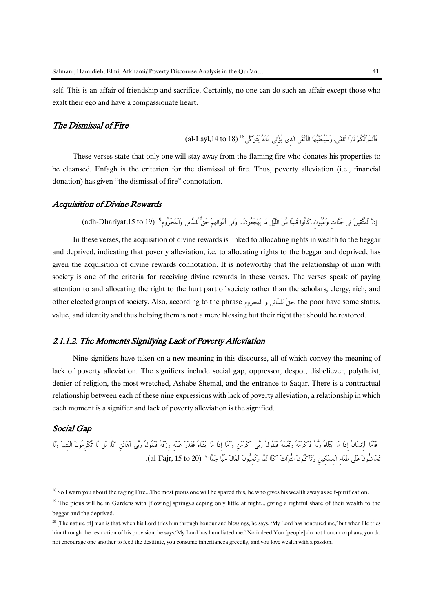self. This is an affair of friendship and sacrifice. Certainly, no one can do such an affair except those who exalt their ego and have a compassionate heart.

## The Dismissal of Fire

)18 to ,14Layl-al (<sup>18</sup> فَأَنذَرْتُكُمْ نَارًا تَلَظَّى..وَسَيُجَنَّبُهَا الْأَتْقَى الَّذِي يُؤْتِي مَالَهُ يَتَزَكَّى

These verses state that only one will stay away from the flaming fire who donates his properties to be cleansed. Enfagh is the criterion for the dismissal of fire. Thus, poverty alleviation (i.e., financial donation) has given "the dismissal of fire" connotation.

## Acquisition of Divine Rewards

إِنَّ الْمُتَّقِينَ فِى جَنَّاتٍ وَعُيُونٍ..كَانُوا قَلِيلًا مَّنَ اللَّيْلِ مَا يَهْجَعُونَ... وَفِى أَمْوَالِهِمْ حَقَّ لِّلسَّائِلِ وَالْمَحْرُومِ "adh-Dhariyat,15 to 19)<br>In these verses, the acquisition of divine rewa

and deprived, indicating that poverty alleviation, i.e. to allocating rights to the beggar and deprived, has given the acquisition of divine rewards connotation. It is noteworthy that the relationship of man with society is one of the criteria for receiving divine rewards in these verses. The verses speak of paying attention to and allocating the right to the hurt part of society rather than the scholars, clergy, rich, and other elected groups of society. Also, according to the phrase المحروم, the poor have some status, value, and identity and thus helping them is not a mere blessing but their right that should be restored.

## 2.1.1.2. The Moments Signifying Lack of Poverty Alleviation

Nine signifiers have taken on a new meaning in this discourse, all of which convey the meaning of lack of poverty alleviation. The signifiers include social gap, oppressor, despot, disbeliever, polytheist, denier of religion, the most wretched, Ashabe Shemal, and the entrance to Saqar. There is a contractual relationship between each of these nine expressions with lack of poverty alleviation, a relationship in which each moment is a signifier and lack of poverty alleviation is the signified.

### Social Gap

**.** 

فَأَمَّا الْإِنسَانُ إِذَا مَا ابْتَلَاهُ رِبُّهُ فَأَعْرَمَهُ وَيَقُولُ رَبِّي أَكْرَمَن وَأَمَّا إِذَا مَا ابْتَلَاهُ فَقَدَرَ عَلَيْه رزْقَهُ فَيَقُولُ رَبِّي أَكْفَارُونَ الْيَتيمَ وَلَا <sup>20</sup> تَحَاضُّونَ عَلَى طَعَامِ الْمِسْكِينِ وَتَأْكُلُونَ التُّرَاثَ أَكْلًا لَّمًّا وَتُحِبُّونَ الْمَالَ حُبًّا جَمًّا .(al-Fajr, 15 to 20)

<sup>&</sup>lt;sup>18</sup> So I warn you about the raging Fire...The most pious one will be spared this, he who gives his wealth away as self-purification.

<sup>&</sup>lt;sup>19</sup> The pious will be in Gardens with [flowing] springs.sleeping only little at night,...giving a rightful share of their wealth to the beggar and the deprived.

 $20$  [The nature of] man is that, when his Lord tries him through honour and blessings, he says, 'My Lord has honoured me,' but when He tries him through the restriction of his provision, he says, 'My Lord has humiliated me.' No indeed You [people] do not honour orphans, you do not encourage one another to feed the destitute, you consume inheritancea greedily, and you love wealth with a passion.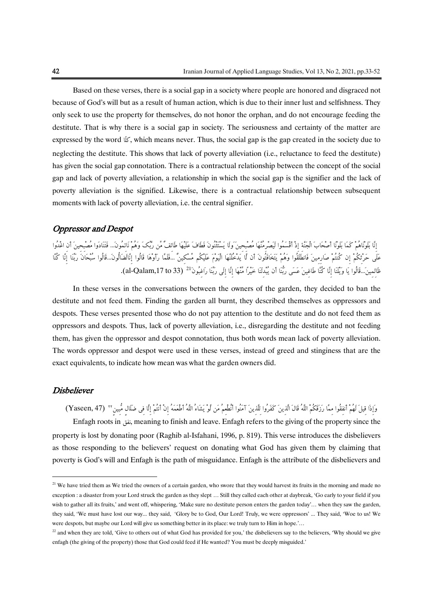Based on these verses, there is a social gap in a society where people are honored and disgraced not because of God's will but as a result of human action, which is due to their inner lust and selfishness. They only seek to use the property for themselves, do not honor the orphan, and do not encourage feeding the destitute. That is why there is a social gap in society. The seriousness and certainty of the matter are expressed by the word  $\mathbb{K}$ , which means never. Thus, the social gap is the gap created in the society due to neglecting the destitute. This shows that lack of poverty alleviation (i.e., reluctance to feed the destitute) has given the social gap connotation. There is a contractual relationship between the concept of the social gap and lack of poverty alleviation, a relationship in which the social gap is the signifier and the lack of poverty alleviation is the signified. Likewise, there is a contractual relationship between subsequent moments with lack of poverty alleviation, i.e. the central signifier.

## Oppressor and Despot

إِنَّا بَلَوْنَاهُمْ كَمَا بَلَوْنَا أَصْحَاَُ الْجَنَّةِ إِذْ أَقْسَمُوا لَيَصْرِمُنَّهَا مُصْبِحِينَ َولَا يَسْتَثْنُونَ فَطَافَ عَلَيْهَا طَائِفٌ مِّن رَّبِّكَ وَهُمْ نَائِمُون...َ فَتَنَادَوا مُصْبِحِينَ أَنِ اغْدُوا عَلَى حَرْثِكُمْ إِن كُنتُمْ صَارِمِينَ فَانطَلَقُوا وَهُمْ يَتَخَافَتُونَ أَن لَّا يَدْخُلَنَّهَا الْيَوْمَ عَلَيْكُم مِّسْكِينٌ ...فَلَمَّا رَأَوْهَا قَالُوا إِ نَّالَضَالُّون...َقَالُوا سُبْحَانَ رَبِّنَا إِنَّا كُنَّا ظَالِمِينَ...قَالُوا يَا وَيْلَنَا إِنَّا كُنَّا طَاغِينَ عَسَى رَبُّنَا أَن يُبْدِلَنَا خَيْرًا مِّنْهَا إِنَّا إِلَى رَبَّنَا رَاغِبُونَ<sup>21</sup> (al-Qalam,17 to 33).

In these verses in the conversations between the owners of the garden, they decided to ban the destitute and not feed them. Finding the garden all burnt, they described themselves as oppressors and despots. These verses presented those who do not pay attention to the destitute and do not feed them as oppressors and despots. Thus, lack of poverty alleviation, i.e., disregarding the destitute and not feeding them, has given the oppressor and despot connotation, thus both words mean lack of poverty alleviation. The words oppressor and despot were used in these verses, instead of greed and stinginess that are the exact equivalents, to indicate how mean was what the garden owners did.

## **Disbeliever**

1

وَإِذَا قِيلَ لَهُمْ أَنفِقُوا مِمَّا رَزَقَكُمْ اللَّهُ قَالَ الَّذِينَ كَفَرُوا لِلَّذِينَ آمَنُوا أَنْطُعِمُ مَن لَوْ يَشَاءُ اللَّهُ أَطْعَمَهُ إِنْ أَنتُمْ إِلَّا فِي ضَلَالٍ مُّبِينٍ ٢٢ (Yaseen, 47)

Enfagh roots in نفق, meaning to finish and leave. Enfagh refers to the giving of the property since the property is lost by donating poor (Raghib al-Isfahani, 1996, p. 819). This verse introduces the disbelievers as those responding to the believers' request on donating what God has given them by claiming that poverty is God's will and Enfagh is the path of misguidance. Enfagh is the attribute of the disbelievers and

<sup>&</sup>lt;sup>21</sup> We have tried them as We tried the owners of a certain garden, who swore that they would harvest its fruits in the morning and made no exception : a disaster from your Lord struck the garden as they slept … Still they called each other at daybreak, 'Go early to your field if you wish to gather all its fruits,' and went off, whispering, 'Make sure no destitute person enters the garden today'... when they saw the garden, they said, 'We must have lost our way... they said, 'Glory be to God, Our Lord! Truly, we were oppressors' ... They said, 'Woe to us! We were despots, but maybe our Lord will give us something better in its place: we truly turn to Him in hope.'…

<sup>&</sup>lt;sup>22</sup> and when they are told, 'Give to others out of what God has provided for you,' the disbelievers say to the believers, 'Why should we give enfagh (the giving of the property) those that God could feed if He wanted? You must be deeply misguided.'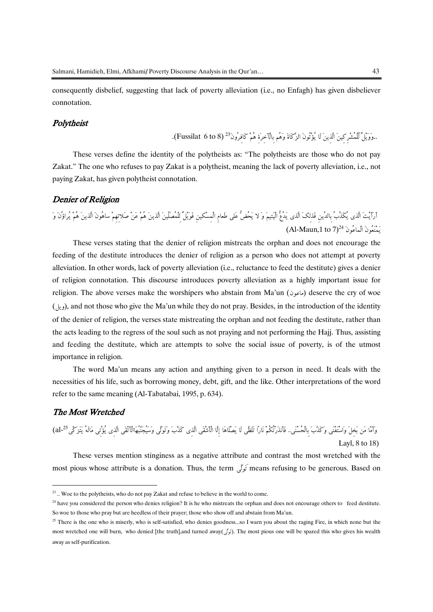consequently disbelief, suggesting that lack of poverty alleviation (i.e., no Enfagh) has given disbeliever connotation.

## Polytheist

..وَوَيْلٌ لِّلْمُشْرِكِينَ الَّذِينَ لَا يُؤْتُونَ الزَّكَاةَ وَهُم بِالْآخِرَةِ هُمْ كَافِرُونَ 23 Fussilat 6 to 8).

These verses define the identity of the polytheists as: "The polytheists are those who do not pay Zakat." The one who refuses to pay Zakat is a polytheist, meaning the lack of poverty alleviation, i.e., not paying Zakat, has given polytheist connotation.

### Denier of Religion

أَرَأَيْتَ الَّذي يُكَذُُِّ بِالدِّينِ فَذلِكَ الَّذي يَدُعُّ الْيَتيمَ وَ ال يَحُضُّ عَلى طَعامِ الْمِسْكينِ فَوَيْلٌ لِلْمُصَلِّينَ الَّذينَ هُمْ عَنْ صَالتِهِمْ ساهُونَ الَّذينَ هُمْ يُراؤُنَ وَ  $(Al$ -Maun,1 to  $7)^{24}$  (مَنْعُونَ الْمَاعُونَ<sup>24</sup>

These verses stating that the denier of religion mistreats the orphan and does not encourage the feeding of the destitute introduces the denier of religion as a person who does not attempt at poverty alleviation. In other words, lack of poverty alleviation (i.e., reluctance to feed the destitute) gives a denier of religion connotation. This discourse introduces poverty alleviation as a highly important issue for religion. The above verses make the worshipers who abstain from Ma'un (ماعون) deserve the cry of woe )ويل), and not those who give the Ma'un while they do not pray. Besides, in the introduction of the identity of the denier of religion, the verses state mistreating the orphan and not feeding the destitute, rather than the acts leading to the regress of the soul such as not praying and not performing the Hajj. Thus, assisting and feeding the destitute, which are attempts to solve the social issue of poverty, is of the utmost importance in religion.

The word Ma'un means any action and anything given to a person in need. It deals with the necessities of his life, such as borrowing money, debt, gift, and the like. Other interpretations of the word refer to the same meaning (Al-Tabatabai, 1995, p. 634).

## The Most Wretched

**.** 

(18 to 8 ,Laylal (<sup>25</sup> وَأَمَّا مَن بَخِلَ وَاسْتَغْنَى وَكَذََُّ بِالْحُسْنَى.. فَأَنذَرْتُكُمْ نَارًا تَلَظَّى لَا يَصْلَاهَا إِلَّا الْأَشْقَى الَّ ذِي كَذََُّ وَتَوَلَّى وَسَيُجَنَّبُهَاالْأَتْقَى الَّذِي يُؤْتِي مَالَهُ يَتَزَكَّى

These verses mention stinginess as a negative attribute and contrast the most wretched with the most pious whose attribute is a donation. Thus, the term ىَّلَوَتَ means refusing to be generous. Based on

<sup>&</sup>lt;sup>23</sup>.. Woe to the polytheists, who do not pay Zakat and refuse to believe in the world to come.

<sup>&</sup>lt;sup>24</sup> have you considered the person who denies religion? It is he who mistreats the orphan and does not encourage others to feed destitute. So woe to those who pray but are heedless of their prayer; those who show off and abstain from Ma'un.

 $25$  There is the one who is miserly, who is self-satisfied, who denies goodness...so I warn you about the raging Fire, in which none but the most wretched one will burn, who denied [the truth],and turned away(ىَّلَوَت(. The most pious one will be spared this who gives his wealth away as self-purification.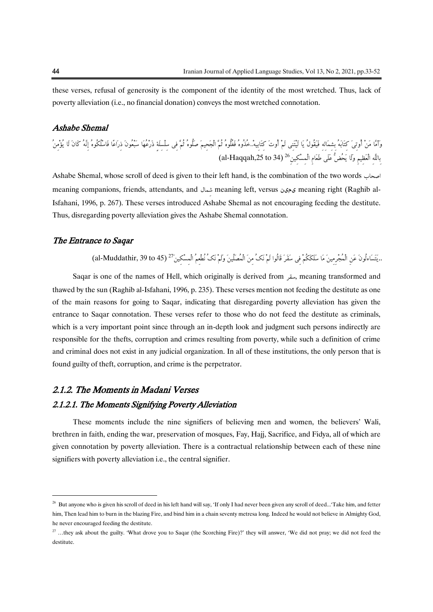these verses, refusal of generosity is the component of the identity of the most wretched. Thus, lack of poverty alleviation (i.e., no financial donation) conveys the most wretched connotation.

## Ashabe Shemal

وَأَمَّا مَنْ أُوتِيَ كِتَابَهُ بِشِمَالِهِ فَيَقُولُ يَا لَيْتَنِي لَمْ أُوتَ كِتَابِيهْ.خُذُوهُ فَغُلُوهُ ثُمَّ الْجَحِيمَ صَلُوهُ ثُمَّ فِي سِلْسِلَة ذَرْعُهَا سَبْعُونَ ذِرَاعًا فَاسْلُكُوهُ إِنَّهُ كَانَ لَا يُؤْمِنُ al (<sup>26</sup>) 34 to ,25Haqqah بِاللَّهِ الْعَظِيمِ وَلَا يَحُضُّ عَلَى طَعَامِ الْمِسْكِينِ

Ashabe Shemal, whose scroll of deed is given to their left hand, is the combination of the two words meaning companions, friends, attendants, and مالِش meaning left, versus یمین meaning right (Raghib al-Isfahani, 1996, p. 267). These verses introduced Ashabe Shemal as not encouraging feeding the destitute. Thus, disregarding poverty alleviation gives the Ashabe Shemal connotation.

#### The Entrance to Saqar

..يَتَسَاءلُونَ عَنِ الْمُجْرِمِينَ مَا سَلَكَكُمْ فِي سَقَرَ قَالُوا لَمْ نَكُ مِنَ الْمُصَلِّينَ وَلَمْ نَكُ نُطْعِمُ الْمِسْكِينَ <sup>27</sup> (al-Muddathir, 39 to 45)

Saqar is one of the names of Hell, which originally is derived from سقر, meaning transformed and thawed by the sun (Raghib al-Isfahani, 1996, p. 235). These verses mention not feeding the destitute as one of the main reasons for going to Saqar, indicating that disregarding poverty alleviation has given the entrance to Saqar connotation. These verses refer to those who do not feed the destitute as criminals, which is a very important point since through an in-depth look and judgment such persons indirectly are responsible for the thefts, corruption and crimes resulting from poverty, while such a definition of crime and criminal does not exist in any judicial organization. In all of these institutions, the only person that is found guilty of theft, corruption, and crime is the perpetrator.

## 2.1.2. The Moments in Madani Verses 2.1.2.1. The Moments Signifying Poverty Alleviation

These moments include the nine signifiers of believing men and women, the believers' Wali, brethren in faith, ending the war, preservation of mosques, Fay, Hajj, Sacrifice, and Fidya, all of which are given connotation by poverty alleviation. There is a contractual relationship between each of these nine signifiers with poverty alleviation i.e., the central signifier.

1

<sup>&</sup>lt;sup>26</sup> But anyone who is given his scroll of deed in his left hand will say, 'If only I had never been given any scroll of deed...'Take him, and fetter him, Then lead him to burn in the blazing Fire, and bind him in a chain seventy metresa long. Indeed he would not believe in Almighty God, he never encouraged feeding the destitute.

<sup>&</sup>lt;sup>27</sup> ...they ask about the guilty. 'What drove you to Saqar (the Scorching Fire)?' they will answer, 'We did not pray; we did not feed the destitute.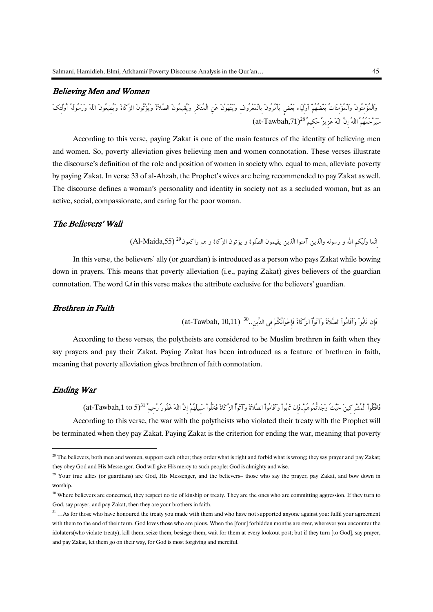## Believing Men and Women

وَالْمُؤْمِنُونَ وَالْمُؤْمِنَاتُ بَعْضُهُمْ أَوْلِيَاء بَعْضٍ يَأْمُرُونَ بِالْمَعْرُوفِ وَيَنْهَوْنَ عَنِ الْمُنكَرِ وَيُقِيمُونَ الصَّالَةَ وَيُؤْتُونَ الزَّكَاةَ وَيُطِيعُونَ اللّهَ وَرَسُولَهُ أُوْلَِِكَ  $\rm (at-Tawbah,71)^{28}$  سَيَرْحَمُهُمُ اللّهُ إِنَّ اللّهَ عَزِيزٌ حَكِيمٌ

According to this verse, paying Zakat is one of the main features of the identity of believing men and women. So, poverty alleviation gives believing men and women connotation. These verses illustrate the discourse's definition of the role and position of women in society who, equal to men, alleviate poverty by paying Zakat. In verse 33 of al-Ahzab, the Prophet's wives are being recommended to pay Zakat as well. The discourse defines a woman's personality and identity in society not as a secluded woman, but as an active, social, compassionate, and caring for the poor woman.

## The Believers' Wali

انّما وَليّكم الله و رسوله والّذين آمنوا الّذين يقيمون الصّلوة و يؤتون الزّكاة و هم راكعون<sup>29 (</sup>Al-Maida,55)

In this verse, the believers' ally (or guardian) is introduced as a person who pays Zakat while bowing down in prayers. This means that poverty alleviation (i.e., paying Zakat) gives believers of the guardian connotation. The word اندا in this verse makes the attribute exclusive for the believers' guardian.

### Brethren in Faith

فَإِن تَابُواْ وَآقَامُواْ الصَّلاَةَ وآتَوْاْ الزَّكَاةَ فَإِخْوَانُكُمْ فِي الدِّينِ..<sup>30</sup> (at-Tawbah, 10,11)

According to these verses, the polytheists are considered to be Muslim brethren in faith when they say prayers and pay their Zakat. Paying Zakat has been introduced as a feature of brethren in faith, meaning that poverty alleviation gives brethren of faith connotation.

## Ending War

-

فَاقْتُلُواْ الْمُشْرِكِينَ حَيْثُ وَجَدتُّمُوهُمْ..فَإِن تَابُواْ وَأَقَامُواْ الصَّلاَةَ وَآتَوْاْ الزَّكَاةَ فَخَلُواْ سَبِيلَهُمْ إِنَّ اللّهَ غَفُورٌ رَّحِيمٌ <sup>31</sup>(15 at-Tawbah,1 to 5) According to this verse, the war with the polytheists who violated their treaty with the Prophet will be terminated when they pay Zakat. Paying Zakat is the criterion for ending the war, meaning that poverty

<sup>&</sup>lt;sup>28</sup> The believers, both men and women, support each other; they order what is right and forbid what is wrong; they say prayer and pay Zakat; they obey God and His Messenger. God will give His mercy to such people: God is almighty and wise.

 $29$  Your true allies (or guardians) are God, His Messenger, and the believers– those who say the prayer, pay Zakat, and bow down in worship.

<sup>&</sup>lt;sup>30</sup> Where believers are concerned, they respect no tie of kinship or treaty. They are the ones who are committing aggression. If they turn to God, say prayer, and pay Zakat, then they are your brothers in faith.

<sup>&</sup>lt;sup>31</sup> …As for those who have honoured the treaty you made with them and who have not supported anyone against you: fulfil your agreement with them to the end of their term. God loves those who are pious. When the [four] forbidden months are over, wherever you encounter the idolaters(who violate treaty), kill them, seize them, besiege them, wait for them at every lookout post; but if they turn [to God], say prayer, and pay Zakat, let them go on their way, for God is most forgiving and merciful.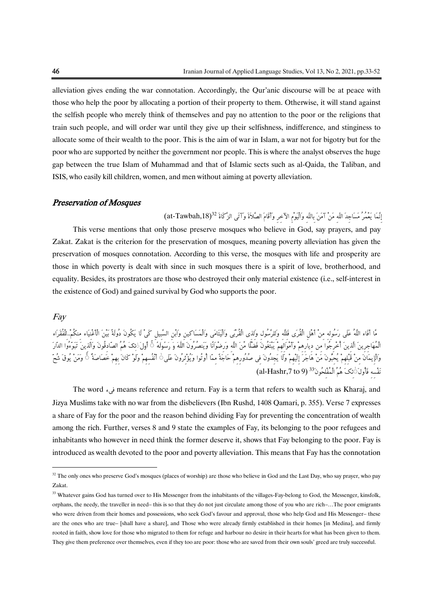alleviation gives ending the war connotation. Accordingly, the Qur'anic discourse will be at peace with those who help the poor by allocating a portion of their property to them. Otherwise, it will stand against the selfish people who merely think of themselves and pay no attention to the poor or the religions that train such people, and will order war until they give up their selfishness, indifference, and stinginess to allocate some of their wealth to the poor. This is the aim of war in Islam, a war not for bigotry but for the poor who are supported by neither the government nor people. This is where the analyst observes the huge gap between the true Islam of Muhammad and that of Islamic sects such as al-Qaida, the Taliban, and ISIS, who easily kill children, women, and men without aiming at poverty alleviation.

### Preservation of Mosques

إِنَّمَا يَعْمُرُ مَسَاجِدَ اللّهِ مَنْ آمَنَ بِاللّهِ وَالْيَوْمِ الآخرِ وَأَقَامَ الصَّلاَةَ وَآتَى الزَّكَاةَ  $^{32}$  (31-Tawbah,18) This verse mentions that only those preserve mosques who believe in God, say prayers, and pay Zakat. Zakat is the criterion for the preservation of mosques, meaning poverty alleviation has given the preservation of mosques connotation. According to this verse, the mosques with life and prosperity are those in which poverty is dealt with since in such mosques there is a spirit of love, brotherhood, and equality. Besides, its prostrators are those who destroyed their only material existence (i.e., self-interest in the existence of God) and gained survival by God who supports the poor.

#### Fay

-

مَّا أَفَاء اللَّهُ عَلَى رَسُولِهِ مِنْ أَهْلِ الْقُرَى فَلِلَّهِ وَلِلرَّسُولِ وَلِذِي الْقُرْبَى وَالْيَتَامَى وَالْمَسَاكِ ينِ وَابْنِ السَّبِيلِ كَيْ لَا يَكُونَ دُولَةً بَيْنَ الْأَغْنِيَاء مِنكُم..ْلِلْفُقَرَاء لْمُهَاجِرِينَ الَّذِينَ أُخْرِجُوا مِن دِيارِهِمْ وَأَمْوَالِهِمْ يَبْتَغُونَ فَضَّلًا مِّنَ اللَّهِ وَرِضْوانًا وَيَنصُرُونَ اللَّهَ وَ رَسُولَهُ ۚ فَ رَسُولَهُ أَوْلَى ذَيْنَ وَالَّذ وَالْإِيمَانَ مِنْ قَبْلِهِمْ يُحِبُّونَ مَنْ هَاجَرَ إِلَيْهِمْ وَلَا يَجِدُونَ فِي صُدُورِهِمْ حَاجَةً مِمَّا أُوتُوا وَيُؤْثِرُونَ عَلَى ۚ أَنْفُسِهِمْ وَلَوْ كَانَ بِهِمْ خَصَاصَةٌ ۚ وَمَنْ يُوقَ شُحَّ  ${\rm (al\text{-}Hashr,}7 \text{ to } 9) \stackrel{33}{\sim}$ نَفْسَهِ فَأُولَ $\sim$ نَكَ هُمُ الْمُفْلِحُونَ

The word فىء means reference and return. Fay is a term that refers to wealth such as Kharaj, and Jizya Muslims take with no war from the disbelievers (Ibn Rushd, 1408 Qamari, p. 355). Verse 7 expresses a share of Fay for the poor and the reason behind dividing Fay for preventing the concentration of wealth among the rich. Further, verses 8 and 9 state the examples of Fay, its belonging to the poor refugees and inhabitants who however in need think the former deserve it, shows that Fay belonging to the poor. Fay is introduced as wealth devoted to the poor and poverty alleviation. This means that Fay has the connotation

<sup>&</sup>lt;sup>32</sup> The only ones who preserve God's mosques (places of worship) are those who believe in God and the Last Day, who say prayer, who pay Zakat.

<sup>&</sup>lt;sup>33</sup> Whatever gains God has turned over to His Messenger from the inhabitants of the villages-Fay-belong to God, the Messenger, kinsfolk, orphans, the needy, the traveller in need– this is so that they do not just circulate among those of you who are rich–…The poor emigrants who were driven from their homes and possessions, who seek God's favour and approval, those who help God and His Messenger– these are the ones who are true– [shall have a share], and Those who were already firmly established in their homes [in Medina], and firmly rooted in faith, show love for those who migrated to them for refuge and harbour no desire in their hearts for what has been given to them. They give them preference over themselves, even if they too are poor: those who are saved from their own souls' greed are truly successful.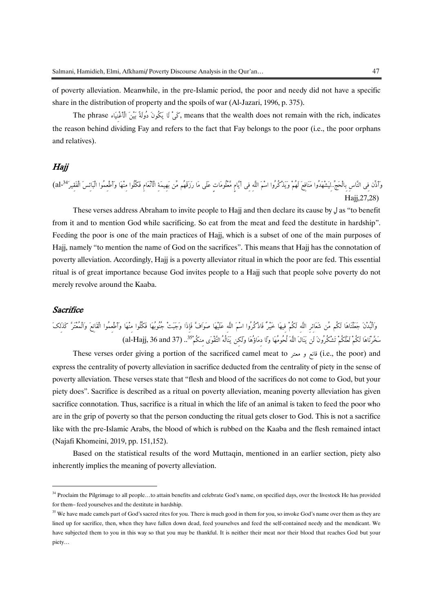of poverty alleviation. Meanwhile, in the pre-Islamic period, the poor and needy did not have a specific share in the distribution of property and the spoils of war (Al-Jazari, 1996, p. 375).

The phrase ,تَمَى لَا يَكُونَ دُولَةً بَيْنَ الْأَغْنِيَاء The phrase كَيْ الْأَغْنِيَاء The phrase , the reason behind dividing Fay and refers to the fact that Fay belongs to the poor (i.e., the poor orphans and relatives).

## Hajj

(,27,28Hajjal (<sup>34</sup> وَأَذِّن فِي النَّاسِ بِالْحَج..ِّلِيَشْهَدُوا مَنَافِعَ لَهُمْ وَيَذْكُرُوا اسْمَ اللَّهِ فِي أَيَّامٍ مَّعْلُومَاتٍ عَلَى مَا رَزَقَهُم مِّن بَهِيمَةِ الْأَنْعَامِ فَكُلُوا مِنْهَا وَأَطْعِمُوا الْبَائِسَ الْفَقِيرَ

These verses address Abraham to invite people to Hajj and then declare its cause by ِل as "to benefit from it and to mention God while sacrificing. So eat from the meat and feed the destitute in hardship". Feeding the poor is one of the main practices of Hajj, which is a subset of one of the main purposes of Hajj, namely "to mention the name of God on the sacrifices". This means that Hajj has the connotation of poverty alleviation. Accordingly, Hajj is a poverty alleviator ritual in which the poor are fed. This essential ritual is of great importance because God invites people to a Hajj such that people solve poverty do not merely revolve around the Kaaba.

## **Sacrifice**

-

# وَالْبُدْنَ جَعَلْنَاهَا لَكُم مِّن شَعَائِرِ اللَّهِ لَكُمْ فِيهَا خَيْرٌ فَاذْكُرُوا اسْمَ اللَّهِ عَلَيْهَا صَوَافَّ فَإِذَا وَجَبَتْ جُنُوبُهَا فَكُلُوا مِنْهَا وَأَطْعِمُوا الْقَانِعَ وَالْمُعْتَرَّ كَذَلِكَ .. سَخَّرْنَاهَا لَكُمْ لَعَلَّكُمْ تَشْكُرُونَ لَن يَنَالَ اللَّهَ لُحُومُهَا وَلَا دِمَاؤُهَا وَلَكِن يَنَالُهُ التَّقْوَى منكُمْ<sup>35</sup>.. (36 and 37) (al-Hajj, 36 and 37)

These verses order giving a portion of the sacrificed camel meat to معتر و قانع) i.e., the poor) and express the centrality of poverty alleviation in sacrifice deducted from the centrality of piety in the sense of poverty alleviation. These verses state that "flesh and blood of the sacrifices do not come to God, but your piety does". Sacrifice is described as a ritual on poverty alleviation, meaning poverty alleviation has given sacrifice connotation. Thus, sacrifice is a ritual in which the life of an animal is taken to feed the poor who are in the grip of poverty so that the person conducting the ritual gets closer to God. This is not a sacrifice like with the pre-Islamic Arabs, the blood of which is rubbed on the Kaaba and the flesh remained intact (Najafi Khomeini, 2019, pp. 151,152).

Based on the statistical results of the word Muttaqin, mentioned in an earlier section, piety also inherently implies the meaning of poverty alleviation.

<sup>&</sup>lt;sup>34</sup> Proclaim the Pilgrimage to all people...to attain benefits and celebrate God's name, on specified days, over the livestock He has provided for them– feed yourselves and the destitute in hardship.

<sup>&</sup>lt;sup>35</sup> We have made camels part of God's sacred rites for you. There is much good in them for you, so invoke God's name over them as they are lined up for sacrifice, then, when they have fallen down dead, feed yourselves and feed the self-contained needy and the mendicant. We have subjected them to you in this way so that you may be thankful. It is neither their meat nor their blood that reaches God but your piety…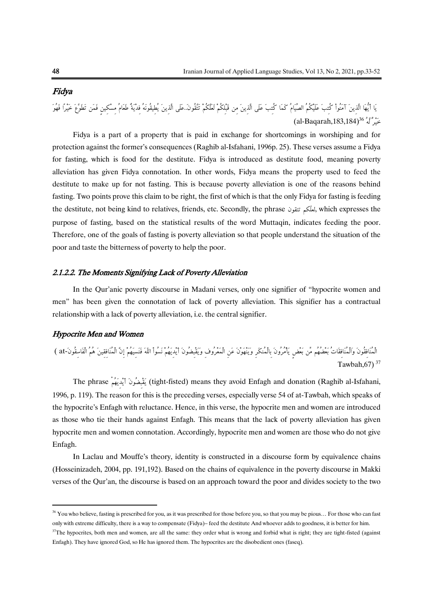## Fidya

يَا أَيُّهَا الَّذِينَ آمَنُواْ كُتِبَ عَلَيْكُمُ الصِّيَامُ كَمَا كُتِبَ عَلَى الَّذِينَ مِن قَبْلِكُمْ لَعَلَّكُمْ تَتَّقُونَ..عَلَى الَّذِينَ مِن قَبْلِكُمْ لَعَلَّكُمْ تَتَّقُونَ..عَلَى الَّذِينَ مِن قَبْلِكُمْ لَعَلَ  $\text{(al-Baqarah,183,184)}^{36}$ خَيْرٌ لَّهُ

Fidya is a part of a property that is paid in exchange for shortcomings in worshiping and for protection against the former's consequences (Raghib al-Isfahani, 1996p. 25). These verses assume a Fidya for fasting, which is food for the destitute. Fidya is introduced as destitute food, meaning poverty alleviation has given Fidya connotation. In other words, Fidya means the property used to feed the destitute to make up for not fasting. This is because poverty alleviation is one of the reasons behind fasting. Two points prove this claim to be right, the first of which is that the only Fidya for fasting is feeding the destitute, not being kind to relatives, friends, etc. Secondly, the phrase تتقون كمّلعل, which expresses the purpose of fasting, based on the statistical results of the word Muttaqin, indicates feeding the poor. Therefore, one of the goals of fasting is poverty alleviation so that people understand the situation of the poor and taste the bitterness of poverty to help the poor.

#### 2.1.2.2. The Moments Signifying Lack of Poverty Alleviation

In the Qur'anic poverty discourse in Madani verses, only one signifier of "hypocrite women and men" has been given the connotation of lack of poverty alleviation. This signifier has a contractual relationship with a lack of poverty alleviation, i.e. the central signifier.

## Hypocrite Men and Women

**.** 

الْمُنَافِقُونَ وَالْمُنَافِقَاتُ بَعْضُهُم مِّن بَعْضٍ يَأْمُرُونَ بِالْمُنكَرِ وَيَنْهَوْنَ عَنِ الْمَعْرُوفِ وَيَقْبِضُونَ أَيْدِيَهُمْ نَسُواْ اللّهَ فَنَسِيَهُمْ إِنَّ الْمُنَافِقِينَ هُمُ الْفَاسِقُونَ -at( <sup>37</sup> Tawbah,67)

The phrase يَقْبِضُونَ ٱيْدِيَهُمْ (tight-fisted) means they avoid Enfagh and donation (Raghib al-Isfahani, 1996, p. 119). The reason for this is the preceding verses, especially verse 54 of at-Tawbah, which speaks of the hypocrite's Enfagh with reluctance. Hence, in this verse, the hypocrite men and women are introduced as those who tie their hands against Enfagh. This means that the lack of poverty alleviation has given hypocrite men and women connotation. Accordingly, hypocrite men and women are those who do not give Enfagh.

In Laclau and Mouffe's theory, identity is constructed in a discourse form by equivalence chains (Hosseinizadeh, 2004, pp. 191,192). Based on the chains of equivalence in the poverty discourse in Makki verses of the Qur'an, the discourse is based on an approach toward the poor and divides society to the two

<sup>&</sup>lt;sup>36</sup> You who believe, fasting is prescribed for you, as it was prescribed for those before you, so that you may be pious... For those who can fast only with extreme difficulty, there is a way to compensate (Fidya)– feed the destitute And whoever adds to goodness, it is better for him.

 $37$ The hypocrites, both men and women, are all the same: they order what is wrong and forbid what is right; they are tight-fisted (against Enfagh). They have ignored God, so He has ignored them. The hypocrites are the disobedient ones (faseq).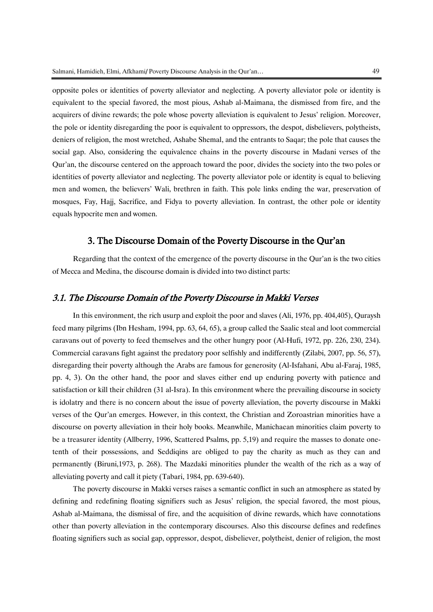opposite poles or identities of poverty alleviator and neglecting. A poverty alleviator pole or identity is equivalent to the special favored, the most pious, Ashab al-Maimana, the dismissed from fire, and the acquirers of divine rewards; the pole whose poverty alleviation is equivalent to Jesus' religion. Moreover, the pole or identity disregarding the poor is equivalent to oppressors, the despot, disbelievers, polytheists, deniers of religion, the most wretched, Ashabe Shemal, and the entrants to Saqar; the pole that causes the social gap. Also, considering the equivalence chains in the poverty discourse in Madani verses of the Qur'an, the discourse centered on the approach toward the poor, divides the society into the two poles or identities of poverty alleviator and neglecting. The poverty alleviator pole or identity is equal to believing men and women, the believers' Wali, brethren in faith. This pole links ending the war, preservation of mosques, Fay, Hajj, Sacrifice, and Fidya to poverty alleviation. In contrast, the other pole or identity equals hypocrite men and women.

## 3. The Discourse Domain of the Poverty Discourse in the Qur'an

Regarding that the context of the emergence of the poverty discourse in the Qur'an is the two cities of Mecca and Medina, the discourse domain is divided into two distinct parts:

## 3.1. The Discourse Domain of the Poverty Discourse in Makki Verses

In this environment, the rich usurp and exploit the poor and slaves (Ali, 1976, pp. 404,405), Quraysh feed many pilgrims (Ibn Hesham, 1994, pp. 63, 64, 65), a group called the Saalic steal and loot commercial caravans out of poverty to feed themselves and the other hungry poor (Al-Hufi, 1972, pp. 226, 230, 234). Commercial caravans fight against the predatory poor selfishly and indifferently (Zilabi, 2007, pp. 56, 57), disregarding their poverty although the Arabs are famous for generosity (Al-Isfahani, Abu al-Faraj, 1985, pp. 4, 3). On the other hand, the poor and slaves either end up enduring poverty with patience and satisfaction or kill their children (31 al-Isra). In this environment where the prevailing discourse in society is idolatry and there is no concern about the issue of poverty alleviation, the poverty discourse in Makki verses of the Qur'an emerges. However, in this context, the Christian and Zoroastrian minorities have a discourse on poverty alleviation in their holy books. Meanwhile, Manichaean minorities claim poverty to be a treasurer identity (Allberry, 1996, Scattered Psalms, pp. 5,19) and require the masses to donate onetenth of their possessions, and Seddiqins are obliged to pay the charity as much as they can and permanently (Biruni,1973, p. 268). The Mazdaki minorities plunder the wealth of the rich as a way of alleviating poverty and call it piety (Tabari, 1984, pp. 639-640).

The poverty discourse in Makki verses raises a semantic conflict in such an atmosphere as stated by defining and redefining floating signifiers such as Jesus' religion, the special favored, the most pious, Ashab al-Maimana, the dismissal of fire, and the acquisition of divine rewards, which have connotations other than poverty alleviation in the contemporary discourses. Also this discourse defines and redefines floating signifiers such as social gap, oppressor, despot, disbeliever, polytheist, denier of religion, the most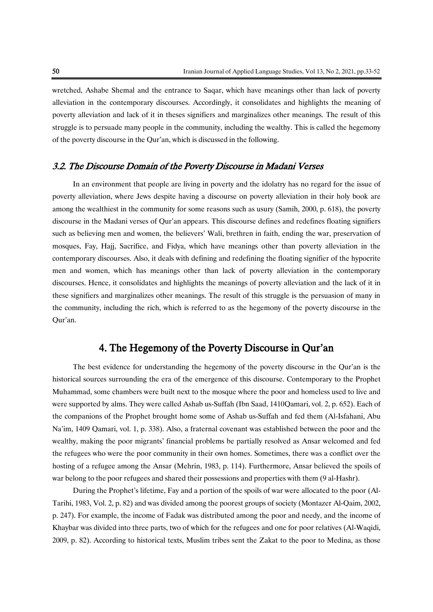wretched, Ashabe Shemal and the entrance to Saqar, which have meanings other than lack of poverty alleviation in the contemporary discourses. Accordingly, it consolidates and highlights the meaning of poverty alleviation and lack of it in theses signifiers and marginalizes other meanings. The result of this struggle is to persuade many people in the community, including the wealthy. This is called the hegemony of the poverty discourse in the Qur'an, which is discussed in the following.

## 3.2. The Discourse Domain of the Poverty Discourse in Madani Verses

In an environment that people are living in poverty and the idolatry has no regard for the issue of poverty alleviation, where Jews despite having a discourse on poverty alleviation in their holy book are among the wealthiest in the community for some reasons such as usury (Samih, 2000, p. 618), the poverty discourse in the Madani verses of Qur'an appears. This discourse defines and redefines floating signifiers such as believing men and women, the believers' Wali, brethren in faith, ending the war, preservation of mosques, Fay, Hajj, Sacrifice, and Fidya, which have meanings other than poverty alleviation in the contemporary discourses. Also, it deals with defining and redefining the floating signifier of the hypocrite men and women, which has meanings other than lack of poverty alleviation in the contemporary discourses. Hence, it consolidates and highlights the meanings of poverty alleviation and the lack of it in these signifiers and marginalizes other meanings. The result of this struggle is the persuasion of many in the community, including the rich, which is referred to as the hegemony of the poverty discourse in the Qur'an.

## 4. The Hegemony of the Poverty Discourse in Qur'an

The best evidence for understanding the hegemony of the poverty discourse in the Qur'an is the historical sources surrounding the era of the emergence of this discourse. Contemporary to the Prophet Muhammad, some chambers were built next to the mosque where the poor and homeless used to live and were supported by alms. They were called Ashab us-Suffah (Ibn Saad, 1410Qamari, vol. 2, p. 652). Each of the companions of the Prophet brought home some of Ashab us-Suffah and fed them (Al-Isfahani, Abu Na'im, 1409 Qamari, vol. 1, p. 338). Also, a fraternal covenant was established between the poor and the wealthy, making the poor migrants' financial problems be partially resolved as Ansar welcomed and fed the refugees who were the poor community in their own homes. Sometimes, there was a conflict over the hosting of a refugee among the Ansar (Mehrin, 1983, p. 114). Furthermore, Ansar believed the spoils of war belong to the poor refugees and shared their possessions and properties with them (9 al-Hashr).

During the Prophet's lifetime, Fay and a portion of the spoils of war were allocated to the poor (Al-Tarihi, 1983, Vol. 2, p. 82) and was divided among the poorest groups of society (Montazer Al-Qaim, 2002, p. 247). For example, the income of Fadak was distributed among the poor and needy, and the income of Khaybar was divided into three parts, two of which for the refugees and one for poor relatives (Al-Waqidi, 2009, p. 82). According to historical texts, Muslim tribes sent the Zakat to the poor to Medina, as those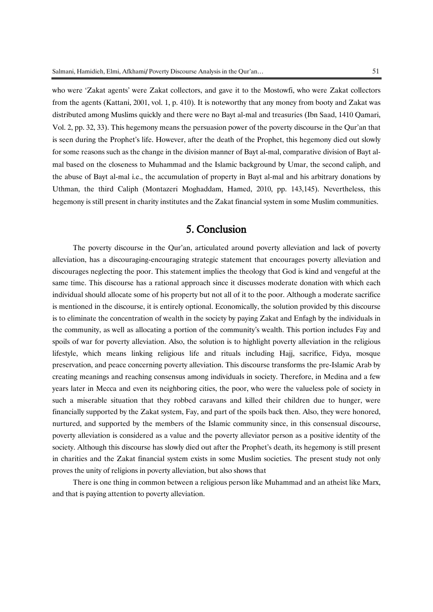who were 'Zakat agents' were Zakat collectors, and gave it to the Mostowfi, who were Zakat collectors from the agents (Kattani, 2001, vol. 1, p. 410). It is noteworthy that any money from booty and Zakat was distributed among Muslims quickly and there were no Bayt al-mal and treasuries (Ibn Saad, 1410 Qamari, Vol. 2, pp. 32, 33). This hegemony means the persuasion power of the poverty discourse in the Qur'an that is seen during the Prophet's life. However, after the death of the Prophet, this hegemony died out slowly for some reasons such as the change in the division manner of Bayt al-mal, comparative division of Bayt almal based on the closeness to Muhammad and the Islamic background by Umar, the second caliph, and the abuse of Bayt al-mal i.e., the accumulation of property in Bayt al-mal and his arbitrary donations by Uthman, the third Caliph (Montazeri Moghaddam, Hamed, 2010, pp. 143,145). Nevertheless, this hegemony is still present in charity institutes and the Zakat financial system in some Muslim communities.

## 5. Conclusion

The poverty discourse in the Qur'an, articulated around poverty alleviation and lack of poverty alleviation, has a discouraging-encouraging strategic statement that encourages poverty alleviation and discourages neglecting the poor. This statement implies the theology that God is kind and vengeful at the same time. This discourse has a rational approach since it discusses moderate donation with which each individual should allocate some of his property but not all of it to the poor. Although a moderate sacrifice is mentioned in the discourse, it is entirely optional. Economically, the solution provided by this discourse is to eliminate the concentration of wealth in the society by paying Zakat and Enfagh by the individuals in the community, as well as allocating a portion of the community's wealth. This portion includes Fay and spoils of war for poverty alleviation. Also, the solution is to highlight poverty alleviation in the religious lifestyle, which means linking religious life and rituals including Hajj, sacrifice, Fidya, mosque preservation, and peace concerning poverty alleviation. This discourse transforms the pre-Islamic Arab by creating meanings and reaching consensus among individuals in society. Therefore, in Medina and a few years later in Mecca and even its neighboring cities, the poor, who were the valueless pole of society in such a miserable situation that they robbed caravans and killed their children due to hunger, were financially supported by the Zakat system, Fay, and part of the spoils back then. Also, they were honored, nurtured, and supported by the members of the Islamic community since, in this consensual discourse, poverty alleviation is considered as a value and the poverty alleviator person as a positive identity of the society. Although this discourse has slowly died out after the Prophet's death, its hegemony is still present in charities and the Zakat financial system exists in some Muslim societies. The present study not only proves the unity of religions in poverty alleviation, but also shows that

There is one thing in common between a religious person like Muhammad and an atheist like Marx, and that is paying attention to poverty alleviation.